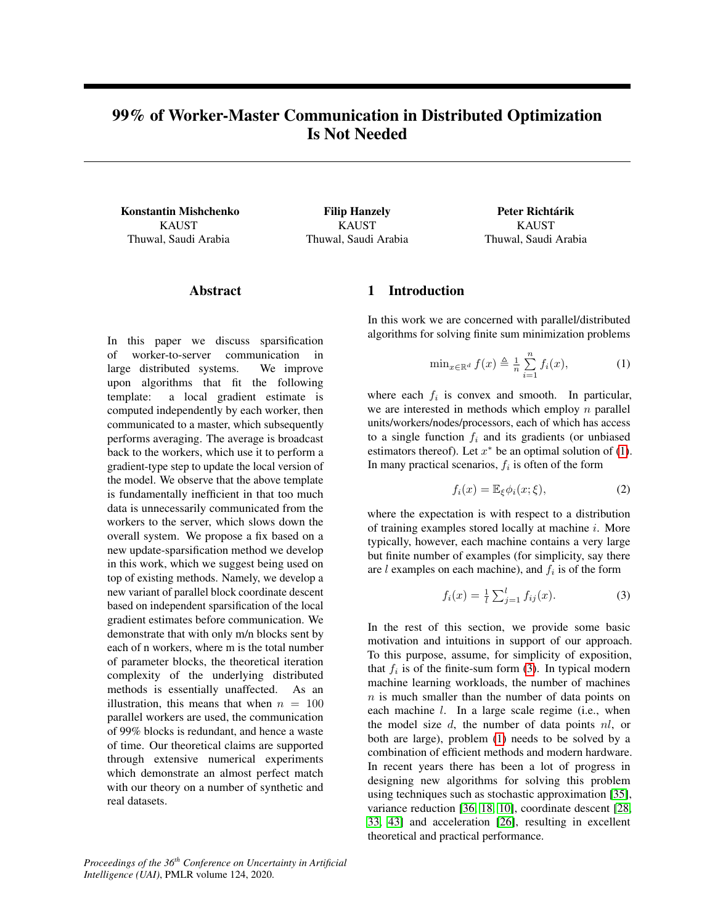# <span id="page-0-3"></span>99% of Worker-Master Communication in Distributed Optimization Is Not Needed

Konstantin Mishchenko KAUST Thuwal, Saudi Arabia

Filip Hanzely KAUST Thuwal, Saudi Arabia

Peter Richtárik KAUST Thuwal, Saudi Arabia

### Abstract

In this paper we discuss sparsification of worker-to-server communication in large distributed systems. We improve upon algorithms that fit the following template: a local gradient estimate is computed independently by each worker, then communicated to a master, which subsequently performs averaging. The average is broadcast back to the workers, which use it to perform a gradient-type step to update the local version of the model. We observe that the above template is fundamentally inefficient in that too much data is unnecessarily communicated from the workers to the server, which slows down the overall system. We propose a fix based on a new update-sparsification method we develop in this work, which we suggest being used on top of existing methods. Namely, we develop a new variant of parallel block coordinate descent based on independent sparsification of the local gradient estimates before communication. We demonstrate that with only m/n blocks sent by each of n workers, where m is the total number of parameter blocks, the theoretical iteration complexity of the underlying distributed methods is essentially unaffected. As an illustration, this means that when  $n = 100$ parallel workers are used, the communication of 99% blocks is redundant, and hence a waste of time. Our theoretical claims are supported through extensive numerical experiments which demonstrate an almost perfect match with our theory on a number of synthetic and real datasets.

*Proceedings of the 36th Conference on Uncertainty in Artificial Intelligence (UAI)*, PMLR volume 124, 2020.

## 1 Introduction

In this work we are concerned with parallel/distributed algorithms for solving finite sum minimization problems

<span id="page-0-0"></span>
$$
\min_{x \in \mathbb{R}^d} f(x) \triangleq \frac{1}{n} \sum_{i=1}^n f_i(x), \tag{1}
$$

where each  $f_i$  is convex and smooth. In particular, we are interested in methods which employ  $n$  parallel units/workers/nodes/processors, each of which has access to a single function  $f_i$  and its gradients (or unbiased estimators thereof). Let  $x^*$  be an optimal solution of [\(1\)](#page-0-0). In many practical scenarios,  $f_i$  is often of the form

<span id="page-0-2"></span>
$$
f_i(x) = \mathbb{E}_{\xi} \phi_i(x; \xi), \tag{2}
$$

where the expectation is with respect to a distribution of training examples stored locally at machine i. More typically, however, each machine contains a very large but finite number of examples (for simplicity, say there are l examples on each machine), and  $f_i$  is of the form

<span id="page-0-1"></span>
$$
f_i(x) = \frac{1}{l} \sum_{j=1}^{l} f_{ij}(x).
$$
 (3)

In the rest of this section, we provide some basic motivation and intuitions in support of our approach. To this purpose, assume, for simplicity of exposition, that  $f_i$  is of the finite-sum form [\(3\)](#page-0-1). In typical modern machine learning workloads, the number of machines  $n$  is much smaller than the number of data points on each machine *l*. In a large scale regime (i.e., when the model size  $d$ , the number of data points  $nl$ , or both are large), problem [\(1\)](#page-0-0) needs to be solved by a combination of efficient methods and modern hardware. In recent years there has been a lot of progress in designing new algorithms for solving this problem using techniques such as stochastic approximation [\[35\]](#page-8-0), variance reduction [\[36,](#page-8-1) [18,](#page-7-0) [10\]](#page-7-1), coordinate descent [\[28,](#page-8-2) [33,](#page-8-3) [43\]](#page-8-4) and acceleration [\[26\]](#page-8-5), resulting in excellent theoretical and practical performance.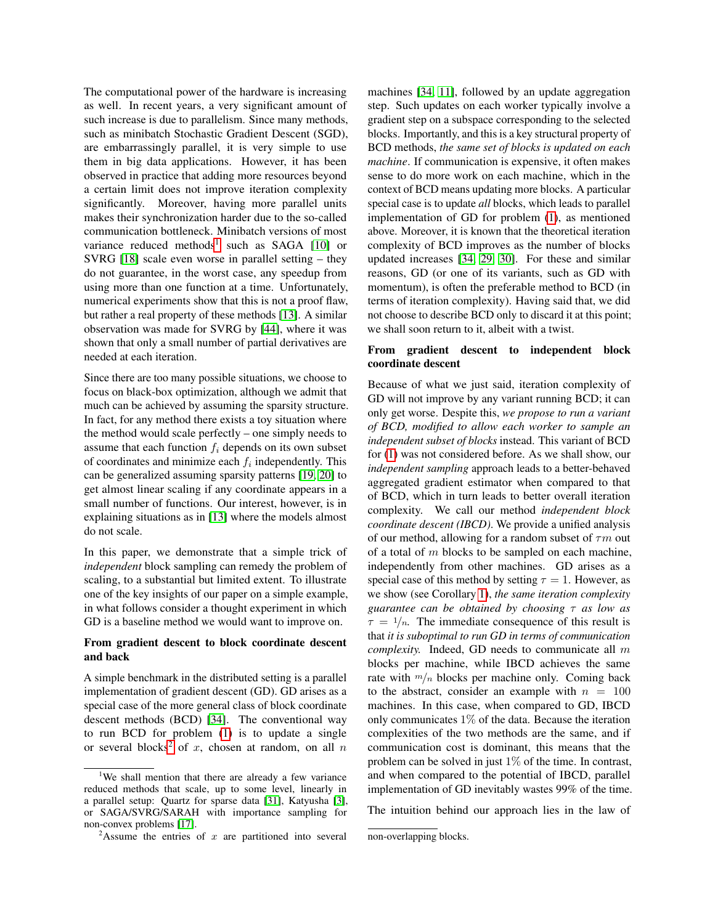The computational power of the hardware is increasing as well. In recent years, a very significant amount of such increase is due to parallelism. Since many methods, such as minibatch Stochastic Gradient Descent (SGD), are embarrassingly parallel, it is very simple to use them in big data applications. However, it has been observed in practice that adding more resources beyond a certain limit does not improve iteration complexity significantly. Moreover, having more parallel units makes their synchronization harder due to the so-called communication bottleneck. Minibatch versions of most variance reduced methods<sup>[1](#page-1-0)</sup> such as SAGA  $[10]$  or SVRG [\[18\]](#page-7-0) scale even worse in parallel setting – they do not guarantee, in the worst case, any speedup from using more than one function at a time. Unfortunately, numerical experiments show that this is not a proof flaw, but rather a real property of these methods [\[13\]](#page-7-2). A similar observation was made for SVRG by [\[44\]](#page-9-0), where it was shown that only a small number of partial derivatives are needed at each iteration.

Since there are too many possible situations, we choose to focus on black-box optimization, although we admit that much can be achieved by assuming the sparsity structure. In fact, for any method there exists a toy situation where the method would scale perfectly – one simply needs to assume that each function  $f_i$  depends on its own subset of coordinates and minimize each  $f_i$  independently. This can be generalized assuming sparsity patterns [\[19,](#page-7-3) [20\]](#page-7-4) to get almost linear scaling if any coordinate appears in a small number of functions. Our interest, however, is in explaining situations as in [\[13\]](#page-7-2) where the models almost do not scale.

In this paper, we demonstrate that a simple trick of *independent* block sampling can remedy the problem of scaling, to a substantial but limited extent. To illustrate one of the key insights of our paper on a simple example, in what follows consider a thought experiment in which GD is a baseline method we would want to improve on.

#### From gradient descent to block coordinate descent and back

A simple benchmark in the distributed setting is a parallel implementation of gradient descent (GD). GD arises as a special case of the more general class of block coordinate descent methods (BCD) [\[34\]](#page-8-6). The conventional way to run BCD for problem [\(1\)](#page-0-0) is to update a single or several blocks<sup>[2](#page-1-1)</sup> of x, chosen at random, on all n

machines [\[34,](#page-8-6) [11\]](#page-7-7), followed by an update aggregation step. Such updates on each worker typically involve a gradient step on a subspace corresponding to the selected blocks. Importantly, and this is a key structural property of BCD methods, *the same set of blocks is updated on each machine*. If communication is expensive, it often makes sense to do more work on each machine, which in the context of BCD means updating more blocks. A particular special case is to update *all* blocks, which leads to parallel implementation of GD for problem [\(1\)](#page-0-0), as mentioned above. Moreover, it is known that the theoretical iteration complexity of BCD improves as the number of blocks updated increases [\[34,](#page-8-6) [29,](#page-8-8) [30\]](#page-8-9). For these and similar reasons, GD (or one of its variants, such as GD with momentum), is often the preferable method to BCD (in terms of iteration complexity). Having said that, we did not choose to describe BCD only to discard it at this point; we shall soon return to it, albeit with a twist.

### From gradient descent to independent block coordinate descent

Because of what we just said, iteration complexity of GD will not improve by any variant running BCD; it can only get worse. Despite this, *we propose to run a variant of BCD, modified to allow each worker to sample an independent subset of blocks* instead. This variant of BCD for [\(1\)](#page-0-0) was not considered before. As we shall show, our *independent sampling* approach leads to a better-behaved aggregated gradient estimator when compared to that of BCD, which in turn leads to better overall iteration complexity. We call our method *independent block coordinate descent (IBCD)*. We provide a unified analysis of our method, allowing for a random subset of  $\tau m$  out of a total of  $m$  blocks to be sampled on each machine, independently from other machines. GD arises as a special case of this method by setting  $\tau = 1$ . However, as we show (see Corollary [1\)](#page-4-0), *the same iteration complexity guarantee can be obtained by choosing* τ *as low as*  $\tau = 1/n$ . The immediate consequence of this result is that *it is suboptimal to run GD in terms of communication complexity.* Indeed, GD needs to communicate all m blocks per machine, while IBCD achieves the same rate with  $m/n$  blocks per machine only. Coming back to the abstract, consider an example with  $n = 100$ machines. In this case, when compared to GD, IBCD only communicates 1% of the data. Because the iteration complexities of the two methods are the same, and if communication cost is dominant, this means that the problem can be solved in just 1% of the time. In contrast, and when compared to the potential of IBCD, parallel implementation of GD inevitably wastes 99% of the time.

The intuition behind our approach lies in the law of

<span id="page-1-0"></span><sup>&</sup>lt;sup>1</sup>We shall mention that there are already a few variance reduced methods that scale, up to some level, linearly in a parallel setup: Quartz for sparse data [\[31\]](#page-8-7), Katyusha [\[3\]](#page-7-5), or SAGA/SVRG/SARAH with importance sampling for non-convex problems [\[17\]](#page-7-6).

<span id="page-1-1"></span><sup>&</sup>lt;sup>2</sup>Assume the entries of  $x$  are partitioned into several

non-overlapping blocks.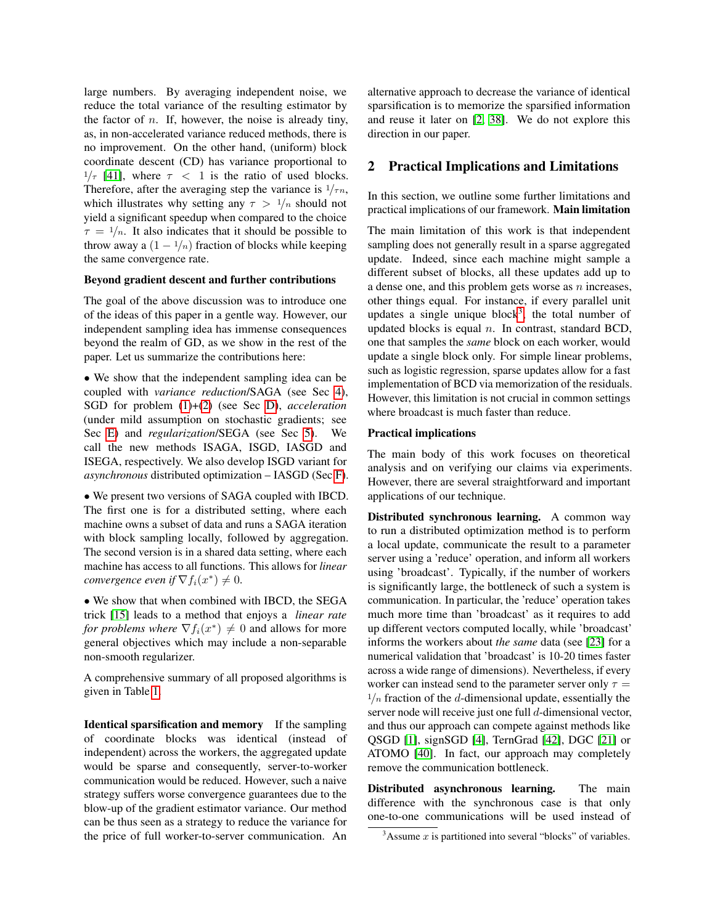large numbers. By averaging independent noise, we reduce the total variance of the resulting estimator by the factor of  $n$ . If, however, the noise is already tiny, as, in non-accelerated variance reduced methods, there is no improvement. On the other hand, (uniform) block coordinate descent (CD) has variance proportional to  $1/\tau$  [\[41\]](#page-8-10), where  $\tau$  < 1 is the ratio of used blocks. Therefore, after the averaging step the variance is  $1/\tau n$ , which illustrates why setting any  $\tau > 1/n$  should not yield a significant speedup when compared to the choice  $\tau = 1/n$ . It also indicates that it should be possible to throw away a  $(1 - \frac{1}{n})$  fraction of blocks while keeping the same convergence rate.

#### Beyond gradient descent and further contributions

The goal of the above discussion was to introduce one of the ideas of this paper in a gentle way. However, our independent sampling idea has immense consequences beyond the realm of GD, as we show in the rest of the paper. Let us summarize the contributions here:

• We show that the independent sampling idea can be coupled with *variance reduction*/SAGA (see Sec [4\)](#page-4-1), SGD for problem [\(1\)](#page-0-0)+[\(2\)](#page-0-2) (see Sec [D\)](#page-0-3), *acceleration* (under mild assumption on stochastic gradients; see Sec [E\)](#page-0-3) and *regularization*/SEGA (see Sec [5\)](#page-5-0). We call the new methods ISAGA, ISGD, IASGD and ISEGA, respectively. We also develop ISGD variant for *asynchronous* distributed optimization – IASGD (Sec [F\)](#page-0-3).

• We present two versions of SAGA coupled with IBCD. The first one is for a distributed setting, where each machine owns a subset of data and runs a SAGA iteration with block sampling locally, followed by aggregation. The second version is in a shared data setting, where each machine has access to all functions. This allows for *linear convergence even if*  $\nabla f_i(x^*) \neq 0$ .

• We show that when combined with IBCD, the SEGA trick [\[15\]](#page-7-8) leads to a method that enjoys a *linear rate for problems where*  $\nabla f_i(x^*) \neq 0$  and allows for more general objectives which may include a non-separable non-smooth regularizer.

A comprehensive summary of all proposed algorithms is given in Table [1.](#page-3-0)

Identical sparsification and memory If the sampling of coordinate blocks was identical (instead of independent) across the workers, the aggregated update would be sparse and consequently, server-to-worker communication would be reduced. However, such a naive strategy suffers worse convergence guarantees due to the blow-up of the gradient estimator variance. Our method can be thus seen as a strategy to reduce the variance for the price of full worker-to-server communication. An alternative approach to decrease the variance of identical sparsification is to memorize the sparsified information and reuse it later on [\[2,](#page-7-9) [38\]](#page-8-11). We do not explore this direction in our paper.

### <span id="page-2-1"></span>2 Practical Implications and Limitations

In this section, we outline some further limitations and practical implications of our framework. Main limitation

The main limitation of this work is that independent sampling does not generally result in a sparse aggregated update. Indeed, since each machine might sample a different subset of blocks, all these updates add up to a dense one, and this problem gets worse as n increases, other things equal. For instance, if every parallel unit updates a single unique block<sup>[3](#page-2-0)</sup>, the total number of updated blocks is equal  $n$ . In contrast, standard BCD, one that samples the *same* block on each worker, would update a single block only. For simple linear problems, such as logistic regression, sparse updates allow for a fast implementation of BCD via memorization of the residuals. However, this limitation is not crucial in common settings where broadcast is much faster than reduce.

#### Practical implications

The main body of this work focuses on theoretical analysis and on verifying our claims via experiments. However, there are several straightforward and important applications of our technique.

Distributed synchronous learning. A common way to run a distributed optimization method is to perform a local update, communicate the result to a parameter server using a 'reduce' operation, and inform all workers using 'broadcast'. Typically, if the number of workers is significantly large, the bottleneck of such a system is communication. In particular, the 'reduce' operation takes much more time than 'broadcast' as it requires to add up different vectors computed locally, while 'broadcast' informs the workers about *the same* data (see [\[23\]](#page-8-12) for a numerical validation that 'broadcast' is 10-20 times faster across a wide range of dimensions). Nevertheless, if every worker can instead send to the parameter server only  $\tau =$  $1/n$  fraction of the d-dimensional update, essentially the server node will receive just one full d-dimensional vector, and thus our approach can compete against methods like QSGD [\[1\]](#page-7-10), signSGD [\[4\]](#page-7-11), TernGrad [\[42\]](#page-8-13), DGC [\[21\]](#page-7-12) or ATOMO [\[40\]](#page-8-14). In fact, our approach may completely remove the communication bottleneck.

Distributed asynchronous learning. The main difference with the synchronous case is that only one-to-one communications will be used instead of

<span id="page-2-0"></span> $3$ Assume x is partitioned into several "blocks" of variables.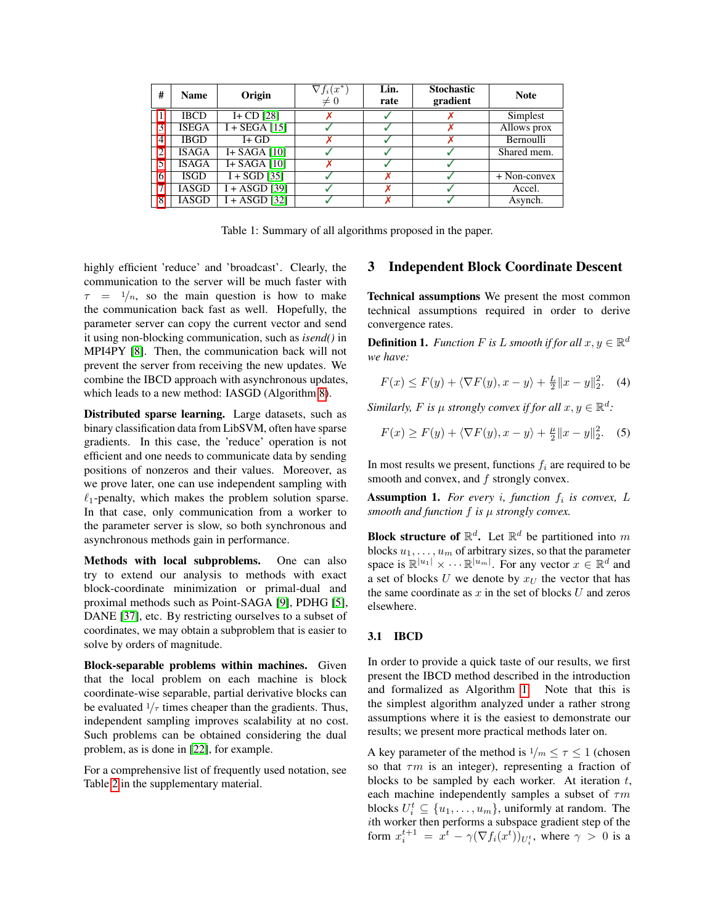| #              | <b>Name</b>  | Origin          | $\nabla f_i(x^*)$<br>$\neq 0$ | Lin.<br>rate | <b>Stochastic</b><br>gradient | <b>Note</b>    |
|----------------|--------------|-----------------|-------------------------------|--------------|-------------------------------|----------------|
|                | <b>IBCD</b>  | $I + CD$ [28]   |                               |              |                               | Simplest       |
| 3              | <b>ISEGA</b> | $I + SEGA$ [15] |                               |              |                               | Allows prox    |
| 4              | <b>IBGD</b>  | $I + GD$        |                               |              |                               | Bernoulli      |
| $\overline{c}$ | <b>ISAGA</b> | I+ SAGA $[10]$  |                               |              |                               | Shared mem.    |
| 5              | <b>ISAGA</b> | I+ SAGA $[10]$  |                               |              |                               |                |
| 6              | <b>ISGD</b>  | $I + SGD$ [35]  |                               |              |                               | $+$ Non-convex |
|                | <b>IASGD</b> | $I + ASGD$ [39] |                               |              |                               | Accel.         |
| 8              | <b>IASGD</b> | $I + ASGD$ [32] |                               |              |                               | Asynch.        |

Table 1: Summary of all algorithms proposed in the paper.

<span id="page-3-0"></span>highly efficient 'reduce' and 'broadcast'. Clearly, the communication to the server will be much faster with  $\tau = 1/n$ , so the main question is how to make the communication back fast as well. Hopefully, the parameter server can copy the current vector and send it using non-blocking communication, such as *isend()* in MPI4PY [\[8\]](#page-7-13). Then, the communication back will not prevent the server from receiving the new updates. We combine the IBCD approach with asynchronous updates, which leads to a new method: IASGD (Algorithm [8\)](#page-0-3).

Distributed sparse learning. Large datasets, such as binary classification data from LibSVM, often have sparse gradients. In this case, the 'reduce' operation is not efficient and one needs to communicate data by sending positions of nonzeros and their values. Moreover, as we prove later, one can use independent sampling with  $\ell_1$ -penalty, which makes the problem solution sparse. In that case, only communication from a worker to the parameter server is slow, so both synchronous and asynchronous methods gain in performance.

Methods with local subproblems. One can also try to extend our analysis to methods with exact block-coordinate minimization or primal-dual and proximal methods such as Point-SAGA [\[9\]](#page-7-14), PDHG [\[5\]](#page-7-15), DANE [\[37\]](#page-8-17), etc. By restricting ourselves to a subset of coordinates, we may obtain a subproblem that is easier to solve by orders of magnitude.

Block-separable problems within machines. Given that the local problem on each machine is block coordinate-wise separable, partial derivative blocks can be evaluated  $1/\tau$  times cheaper than the gradients. Thus, independent sampling improves scalability at no cost. Such problems can be obtained considering the dual problem, as is done in [\[22\]](#page-8-18), for example.

For a comprehensive list of frequently used notation, see Table [2](#page-0-3) in the supplementary material.

### 3 Independent Block Coordinate Descent

Technical assumptions We present the most common technical assumptions required in order to derive convergence rates.

**Definition 1.** *Function*  $F$  *is*  $L$  *smooth if for all*  $x, y \in \mathbb{R}^d$ *we have:*

$$
F(x) \le F(y) + \langle \nabla F(y), x - y \rangle + \frac{L}{2} ||x - y||_2^2.
$$
 (4)

*Similarly, F is*  $\mu$  *strongly convex if for all*  $x, y \in \mathbb{R}^d$ *:* 

$$
F(x) \ge F(y) + \langle \nabla F(y), x - y \rangle + \frac{\mu}{2} ||x - y||_2^2. \tag{5}
$$

In most results we present, functions  $f_i$  are required to be smooth and convex, and  $f$  strongly convex.

<span id="page-3-1"></span>**Assumption 1.** For every *i*, function  $f_i$  is convex, L *smooth and function* f *is* µ *strongly convex.*

**Block structure of**  $\mathbb{R}^d$ **.** Let  $\mathbb{R}^d$  be partitioned into m blocks  $u_1, \ldots, u_m$  of arbitrary sizes, so that the parameter space is  $\mathbb{R}^{|u_1|} \times \cdots \mathbb{R}^{|u_m|}$ . For any vector  $x \in \mathbb{R}^d$  and a set of blocks U we denote by  $x_U$  the vector that has the same coordinate as  $x$  in the set of blocks  $U$  and zeros elsewhere.

### 3.1 IBCD

In order to provide a quick taste of our results, we first present the IBCD method described in the introduction and formalized as Algorithm [1.](#page-4-2) Note that this is the simplest algorithm analyzed under a rather strong assumptions where it is the easiest to demonstrate our results; we present more practical methods later on.

A key parameter of the method is  $1/m \leq \tau \leq 1$  (chosen so that  $\tau m$  is an integer), representing a fraction of blocks to be sampled by each worker. At iteration  $t$ , each machine independently samples a subset of  $\tau m$ blocks  $U_i^t \subseteq \{u_1, \ldots, u_m\}$ , uniformly at random. The ith worker then performs a subspace gradient step of the form  $x_i^{t+1} = x^t - \gamma(\nabla f_i(x^t))_{U_i^t}$ , where  $\gamma > 0$  is a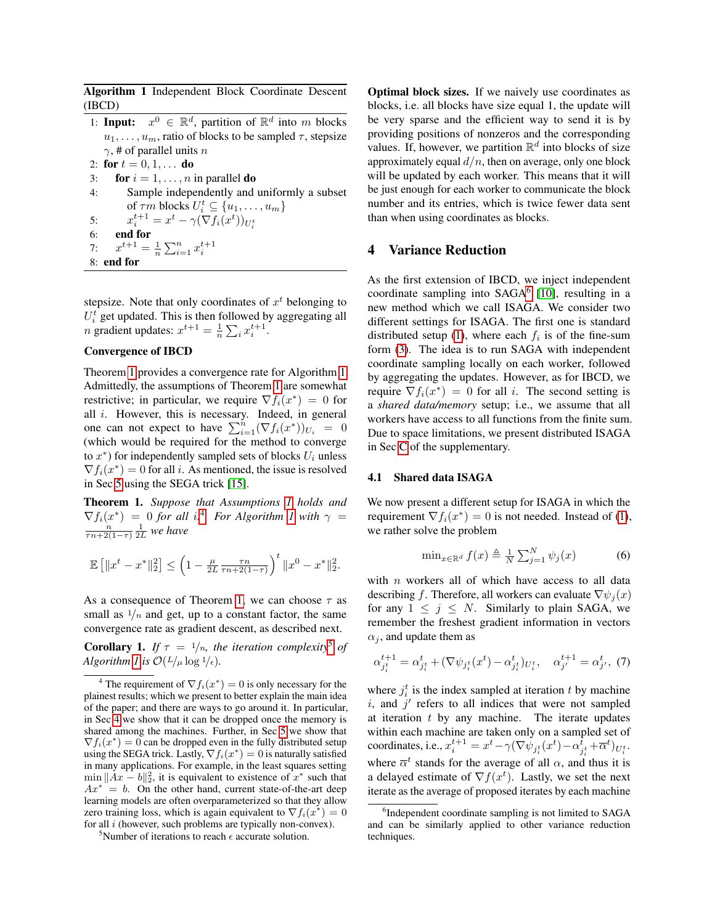Algorithm 1 Independent Block Coordinate Descent (IBCD)

<span id="page-4-2"></span>1: **Input:**  $x^0 \in \mathbb{R}^d$ , partition of  $\mathbb{R}^d$  into m blocks  $u_1, \ldots, u_m$ , ratio of blocks to be sampled  $\tau$ , stepsize  $\gamma$ , # of parallel units n 2: for  $t = 0, 1, ...$  do 3: for  $i = 1, \ldots, n$  in parallel do 4: Sample independently and uniformly a subset of  $\tau m$  blocks  $U_i^t \subseteq \{u_1, \ldots, u_m\}$ 5:  $x_i^{t+1} = x^t - \gamma (\nabla f_i(x^t))_{U_i^t}$ 6: end for 7:  $x^{t+1} = \frac{1}{n} \sum_{i=1}^{n} x_i^{t+1}$ 8: end for

stepsize. Note that only coordinates of  $x^t$  belonging to  $U_i^t$  get updated. This is then followed by aggregating all  $v_i$  get updated. This is then followed by<br>
n gradient updates:  $x^{t+1} = \frac{1}{n} \sum_i x_i^{t+1}$ .

#### Convergence of IBCD

Theorem [1](#page-4-3) provides a convergence rate for Algorithm [1.](#page-4-2) Admittedly, the assumptions of Theorem [1](#page-4-3) are somewhat restrictive; in particular, we require  $\nabla f_i(x^*) = 0$  for all  $i$ . However, this is necessary. Indeed, in general one can not expect to have  $\sum_{i=1}^{n} (\nabla f_i(x^*))_{U_i} = 0$ (which would be required for the method to converge to  $x^*$ ) for independently sampled sets of blocks  $U_i$  unless  $\nabla f_i(x^*) = 0$  for all *i*. As mentioned, the issue is resolved in Sec [5](#page-5-0) using the SEGA trick [\[15\]](#page-7-8).

<span id="page-4-3"></span>Theorem 1. *Suppose that Assumptions [1](#page-3-1) holds and*  $\nabla f_i(x^*) = 0$  for all i.<sup>[4](#page-4-4)</sup> For Algorithm [1](#page-4-2) with  $\gamma =$  $\frac{n}{\tau n+2(1-\tau)}\frac{1}{2L}$  we have

$$
\mathbb{E}\left[\|x^t - x^*\|^2_2\right] \le \left(1 - \frac{\mu}{2L} \frac{\tau n}{\tau n + 2(1-\tau)}\right)^t \|x^0 - x^*\|^2_2.
$$

As a consequence of Theorem [1,](#page-4-3) we can choose  $\tau$  as small as  $\frac{1}{n}$  and get, up to a constant factor, the same convergence rate as gradient descent, as described next.

<span id="page-4-0"></span>**Corollary 1.** *If*  $\tau = 1/n$ *, the iteration complexity*<sup>[5](#page-4-5)</sup> *of Algorithm [1](#page-4-2) is*  $\mathcal{O}(L/\mu \log l/\epsilon)$ *.* 

<span id="page-4-5"></span><sup>5</sup>Number of iterations to reach  $\epsilon$  accurate solution.

Optimal block sizes. If we naively use coordinates as blocks, i.e. all blocks have size equal 1, the update will be very sparse and the efficient way to send it is by providing positions of nonzeros and the corresponding values. If, however, we partition  $\mathbb{R}^d$  into blocks of size approximately equal  $d/n$ , then on average, only one block will be updated by each worker. This means that it will be just enough for each worker to communicate the block number and its entries, which is twice fewer data sent than when using coordinates as blocks.

### <span id="page-4-1"></span>4 Variance Reduction

As the first extension of IBCD, we inject independent coordinate sampling into  $SAGA<sup>6</sup>$  $SAGA<sup>6</sup>$  $SAGA<sup>6</sup>$  [\[10\]](#page-7-1), resulting in a new method which we call ISAGA. We consider two different settings for ISAGA. The first one is standard distributed setup [\(1\)](#page-0-0), where each  $f_i$  is of the fine-sum form [\(3\)](#page-0-1). The idea is to run SAGA with independent coordinate sampling locally on each worker, followed by aggregating the updates. However, as for IBCD, we require  $\nabla f_i(x^*) = 0$  for all *i*. The second setting is a *shared data/memory* setup; i.e., we assume that all workers have access to all functions from the finite sum. Due to space limitations, we present distributed ISAGA in Sec [C](#page-0-3) of the supplementary.

#### 4.1 Shared data ISAGA

We now present a different setup for ISAGA in which the requirement  $\nabla f_i(x^*) = 0$  is not needed. Instead of [\(1\)](#page-0-0), we rather solve the problem

$$
\min_{x \in \mathbb{R}^d} f(x) \triangleq \frac{1}{N} \sum_{j=1}^N \psi_j(x) \tag{6}
$$

with  $n$  workers all of which have access to all data describing f. Therefore, all workers can evaluate  $\nabla \psi_i(x)$ for any  $1 \leq j \leq N$ . Similarly to plain SAGA, we remember the freshest gradient information in vectors  $\alpha_i$ , and update them as

$$
\alpha_{j_i^t}^{t+1} = \alpha_{j_i^t}^t + (\nabla \psi_{j_i^t}(x^t) - \alpha_{j_i^t}^t)_{U_i^t}, \quad \alpha_{j'}^{t+1} = \alpha_{j'}^t, \tag{7}
$$

where  $j_i^t$  is the index sampled at iteration t by machine  $i$ , and  $j'$  refers to all indices that were not sampled at iteration  $t$  by any machine. The iterate updates within each machine are taken only on a sampled set of coordinates, i.e.,  $x_i^{t+1} = x^t - \gamma (\nabla \psi_{j_i^t}(x^t) - \alpha_{j_i^t}^t + \overline{\alpha}^t)_{U_i^t}$ . where  $\overline{\alpha}^t$  stands for the average of all  $\alpha$ , and thus it is a delayed estimate of  $\nabla f(x^t)$ . Lastly, we set the next iterate as the average of proposed iterates by each machine

<span id="page-4-4"></span><sup>&</sup>lt;sup>4</sup> The requirement of  $\nabla f_i(x^*) = 0$  is only necessary for the plainest results; which we present to better explain the main idea of the paper; and there are ways to go around it. In particular, in Sec [4](#page-4-1) we show that it can be dropped once the memory is shared among the machines. Further, in Sec [5](#page-5-0) we show that  $\nabla f_i(x^*) = 0$  can be dropped even in the fully distributed setup using the SEGA trick. Lastly,  $\nabla f_i(x^*) = 0$  is naturally satisfied in many applications. For example, in the least squares setting min  $||Ax - b||_2^2$ , it is equivalent to existence of  $x^*$  such that  $Ax^* = b$ . On the other hand, current state-of-the-art deep learning models are often overparameterized so that they allow zero training loss, which is again equivalent to  $\nabla f_i(x^*) = 0$ for all *i* (however, such problems are typically non-convex).

<span id="page-4-6"></span><sup>&</sup>lt;sup>6</sup>Independent coordinate sampling is not limited to SAGA and can be similarly applied to other variance reduction techniques.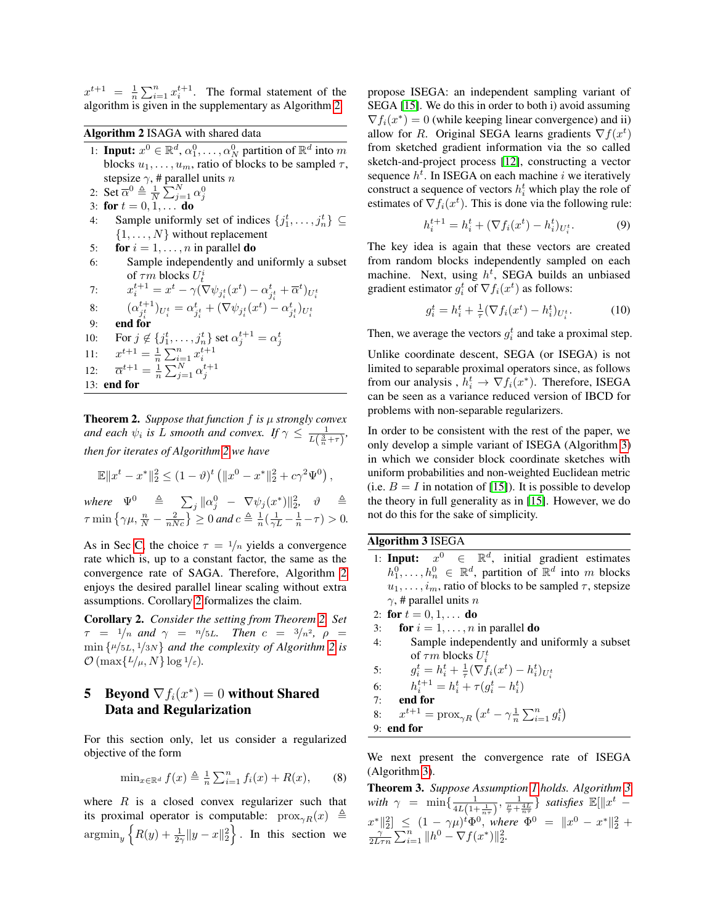$x^{t+1} = \frac{1}{n} \sum_{i=1}^{n} x_i^{t+1}$ . The formal statement of the algorithm is given in the supplementary as Algorithm [2.](#page-5-2)

Algorithm 2 ISAGA with shared data

- <span id="page-5-2"></span>1: **Input:**  $x^0 \in \mathbb{R}^d$ ,  $\alpha_1^0, \ldots, \alpha_N^0$  partition of  $\mathbb{R}^d$  into m blocks  $u_1, \ldots, u_m$ , ratio of blocks to be sampled  $\tau$ , stepsize  $\gamma$ , # parallel units n
- 2: Set  $\overline{\alpha}^0 \triangleq \frac{1}{N} \sum_{j=1}^N \alpha_j^0$ <br>3: for  $t = 0, 1, \dots$  do
- 
- 4: Sample uniformly set of indices  $\{j_1^t, \ldots, j_n^t\} \subseteq$  $\{1, \ldots, N\}$  without replacement
- 5: **for**  $i = 1, \ldots, n$  in parallel **do**
- 6: Sample independently and uniformly a subset of  $\tau m$  blocks  $U_t^i$

7: 
$$
x_i^{t+1} = x^t - \gamma (\nabla \psi_{j_i^t}(x^t) - \alpha_{j_i^t}^t + \overline{\alpha}^t)_{U_i^t}
$$

8: 
$$
(\alpha_{j_i^t}^{t+1})_{U_i^t} = \alpha_{j_i^t}^t + (\nabla \psi_{j_i^t}(x^t) - \alpha_{j_i^t}^t)_{U_i^t}
$$
  
9: **end for**

- 
- 10: For  $j \notin \{j_1^t, \ldots, j_n^t\}$  set  $\alpha_j^{t+1} = \alpha_j^t$ <br>
11:  $x^{t+1} = \frac{1}{n} \sum_{i=1}^n x_i^{t+1}$ <br>
12:  $\overline{\alpha}^{t+1} = \frac{1}{n} \sum_{j=1}^N \alpha_j^{t+1}$
- $11:$
- 12:
- 13: end for

<span id="page-5-4"></span>Theorem 2. *Suppose that function* f *is* µ *strongly convex and each*  $\psi_i$  *is L smooth and convex. If*  $\gamma \leq \frac{1}{L(\frac{3}{n} + \tau)}$ , *then for iterates of Algorithm [2](#page-5-2) we have*

$$
\mathbb{E}\|x^t-x^*\|_2^2 \leq (1-\vartheta)^t \left(\|x^0-x^*\|_2^2 + c\gamma^2 \Psi^0\right),
$$

where  $\Psi^0$   $\triangleq$   $\sum_j \|\alpha_j^0$   $\nabla \psi_j(x^*)\|_2^2$ ,  $\vartheta$   $\triangleq$  $\tau \min\left\{\gamma\mu, \frac{n}{N} - \frac{2}{nNc}\right\} \geq 0$  and  $c \triangleq \frac{1}{n}(\frac{1}{\gamma L} - \frac{1}{n} - \tau) > 0$ .

As in Sec [C,](#page-0-3) the choice  $\tau = \frac{1}{n}$  yields a convergence rate which is, up to a constant factor, the same as the convergence rate of SAGA. Therefore, Algorithm [2](#page-5-2) enjoys the desired parallel linear scaling without extra assumptions. Corollary [2](#page-5-3) formalizes the claim.

<span id="page-5-3"></span>Corollary 2. *Consider the setting from Theorem [2.](#page-5-4) Set*  $\tau = 1/n$  and  $\gamma = n/5L$ . Then  $c = 3/n^2$ ,  $\rho =$ min {µ/5L, <sup>1</sup>/3N} *and the complexity of Algorithm [2](#page-5-2) is*  $\mathcal{O}(\max\{L/\mu, N\} \log 1/\varepsilon).$ 

# <span id="page-5-0"></span>**5** Beyond  $\nabla f_i(x^*) = 0$  without Shared Data and Regularization

For this section only, let us consider a regularized objective of the form

$$
\min_{x \in \mathbb{R}^d} f(x) \triangleq \frac{1}{n} \sum_{i=1}^n f_i(x) + R(x), \qquad (8)
$$

where  $R$  is a closed convex regularizer such that its proximal operator is computable:  $prox_{\gamma R}(x) \triangleq$  $\operatorname{argmin}_y \left\{ R(y) + \frac{1}{2\gamma} \|y - x\|_2^2 \right\}$ . In this section we propose ISEGA: an independent sampling variant of SEGA [\[15\]](#page-7-8). We do this in order to both i) avoid assuming  $\nabla f_i(x^*) = 0$  (while keeping linear convergence) and ii) allow for R. Original SEGA learns gradients  $\nabla f(x^t)$ from sketched gradient information via the so called sketch-and-project process [\[12\]](#page-7-16), constructing a vector sequence  $h^t$ . In ISEGA on each machine i we iteratively construct a sequence of vectors  $h_i^t$  which play the role of estimates of  $\nabla f_i(x^t)$ . This is done via the following rule:

$$
h_i^{t+1} = h_i^t + (\nabla f_i(x^t) - h_i^t)_{U_i^t}.
$$
 (9)

The key idea is again that these vectors are created from random blocks independently sampled on each machine. Next, using  $h^t$ , SEGA builds an unbiased gradient estimator  $g_i^t$  of  $\nabla f_i(x^t)$  as follows:

$$
g_i^t = h_i^t + \frac{1}{\tau} (\nabla f_i(x^t) - h_i^t)_{U_i^t}.
$$
 (10)

Then, we average the vectors  $g_i^t$  and take a proximal step.

Unlike coordinate descent, SEGA (or ISEGA) is not limited to separable proximal operators since, as follows from our analysis,  $h_i^t \rightarrow \nabla f_i(x^*)$ . Therefore, ISEGA can be seen as a variance reduced version of IBCD for problems with non-separable regularizers.

In order to be consistent with the rest of the paper, we only develop a simple variant of ISEGA (Algorithm [3\)](#page-5-1) in which we consider block coordinate sketches with uniform probabilities and non-weighted Euclidean metric (i.e.  $B = I$  in notation of [\[15\]](#page-7-8)). It is possible to develop the theory in full generality as in [\[15\]](#page-7-8). However, we do not do this for the sake of simplicity.

Algorithm 3 ISEGA

- <span id="page-5-1"></span>1: Input:  $x^0$  $\in$  $d$ , initial gradient estimates  $h_1^0, \ldots, h_n^0 \in \mathbb{R}^d$ , partition of  $\mathbb{R}^d$  into m blocks  $u_1, \ldots, i_m$ , ratio of blocks to be sampled  $\tau$ , stepsize  $\gamma$ , # parallel units n
- 2: for  $t = 0, 1, ...$  do
- 3: for  $i = 1, \ldots, n$  in parallel do
- 4: Sample independently and uniformly a subset of  $\tau m$  blocks  $U_i^t$

5: 
$$
g_i^t = h_i^t + \frac{1}{\tau} (\nabla f_i(x^t) - h_i^t)_{U_i^t}
$$

6: 
$$
h_i^{t+1} = h_i^t + \tau(g_i^t - h_i^t)
$$

- 7: end for
- 8:  $x^{t+1} = \text{prox}_{\gamma R} (x^t \gamma \frac{1}{n} \sum_{i=1}^n g_i^t)$
- 9: end for

We next present the convergence rate of ISEGA (Algorithm [3\)](#page-5-1).

<span id="page-5-5"></span>Theorem 3. *Suppose Assumption [1](#page-3-1) holds. Algorithm [3](#page-5-1) with*  $\gamma = \min\{\frac{1}{4L(1+\frac{1}{n\tau})}, \frac{1}{\frac{\mu}{\tau}+\frac{4L}{n\tau}}\}$  *satisfies*  $\mathbb{E}[\|x^t \frac{x^* \|_2^2}{x \sum_{i=1}^n \sum_{i=1}^n \|h^0 - \nabla f(x^*)\|_2^2}$ .<br>  $\frac{1}{2L\tau n} \sum_{i=1}^n \|h^0 - \nabla f(x^*)\|_2^2$ .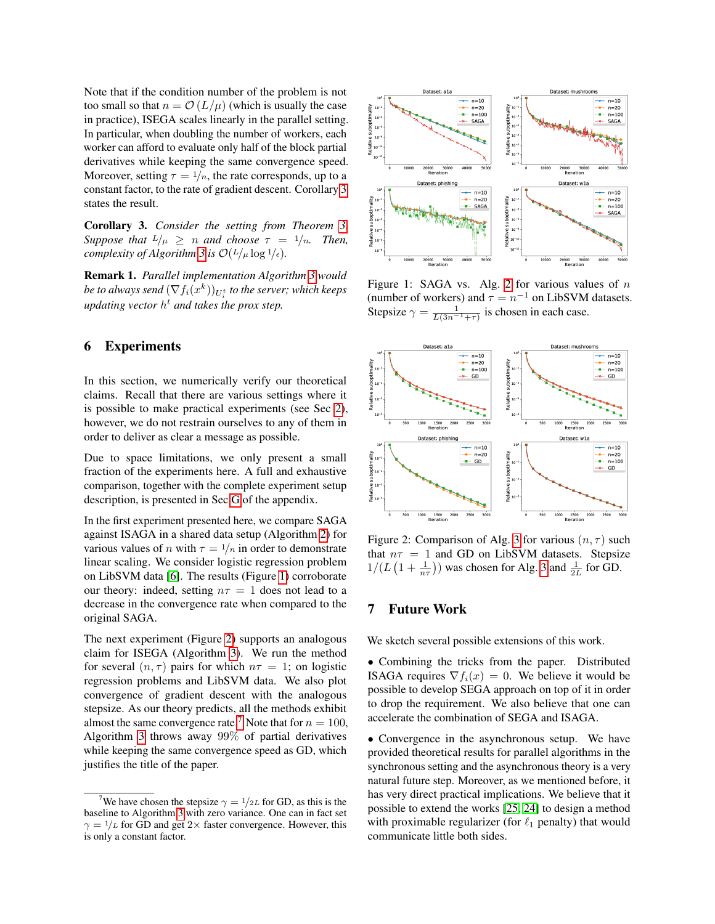Note that if the condition number of the problem is not too small so that  $n = \mathcal{O}(L/\mu)$  (which is usually the case in practice), ISEGA scales linearly in the parallel setting. In particular, when doubling the number of workers, each worker can afford to evaluate only half of the block partial derivatives while keeping the same convergence speed. Moreover, setting  $\tau = \frac{1}{n}$ , the rate corresponds, up to a constant factor, to the rate of gradient descent. Corollary [3](#page-6-0) states the result.

<span id="page-6-0"></span>Corollary 3. *Consider the setting from Theorem [3.](#page-5-5) Suppose that*  $L/\mu > n$  *and choose*  $\tau = 1/n$ *. Then, complexity of Algorithm* [3](#page-5-1) *is*  $\mathcal{O}(L/\mu \log l/\epsilon)$ *.* 

Remark 1. *Parallel implementation Algorithm [3](#page-5-1) would* be to always send  $(\nabla f_i(x^k))_{U^t_i}$  to the server; which keeps *updating vector* h <sup>t</sup> *and takes the prox step.*

# 6 Experiments

In this section, we numerically verify our theoretical claims. Recall that there are various settings where it is possible to make practical experiments (see Sec [2\)](#page-2-1), however, we do not restrain ourselves to any of them in order to deliver as clear a message as possible.

Due to space limitations, we only present a small fraction of the experiments here. A full and exhaustive comparison, together with the complete experiment setup description, is presented in Sec [G](#page-0-3) of the appendix.

In the first experiment presented here, we compare SAGA against ISAGA in a shared data setup (Algorithm [2\)](#page-5-2) for various values of n with  $\tau = \frac{1}{n}$  in order to demonstrate linear scaling. We consider logistic regression problem on LibSVM data [\[6\]](#page-7-17). The results (Figure [1\)](#page-6-1) corroborate our theory: indeed, setting  $n\tau = 1$  does not lead to a decrease in the convergence rate when compared to the original SAGA.

The next experiment (Figure [2\)](#page-6-2) supports an analogous claim for ISEGA (Algorithm [3\)](#page-5-1). We run the method for several  $(n, \tau)$  pairs for which  $n\tau = 1$ ; on logistic regression problems and LibSVM data. We also plot convergence of gradient descent with the analogous stepsize. As our theory predicts, all the methods exhibit almost the same convergence rate.<sup>[7](#page-6-3)</sup> Note that for  $n = 100$ , Algorithm [3](#page-5-1) throws away 99% of partial derivatives while keeping the same convergence speed as GD, which justifies the title of the paper.



<span id="page-6-1"></span>Figure 1: SAGA vs. Alg. [2](#page-5-2) for various values of  $n$ (number of workers) and  $\tau = n^{-1}$  on LibSVM datasets. Stepsize  $\gamma = \frac{1}{L(3n^{-1}+\tau)}$  is chosen in each case.



<span id="page-6-2"></span>Figure 2: Comparison of Alg. [3](#page-5-1) for various  $(n, \tau)$  such that  $n\tau = 1$  and GD on LibSVM datasets. Stepsize  $1/(L(1+\frac{1}{n\tau}))$  was chosen for Alg. [3](#page-5-1) and  $\frac{1}{2L}$  for GD.

## 7 Future Work

We sketch several possible extensions of this work.

• Combining the tricks from the paper. Distributed ISAGA requires  $\nabla f_i(x) = 0$ . We believe it would be possible to develop SEGA approach on top of it in order to drop the requirement. We also believe that one can accelerate the combination of SEGA and ISAGA.

• Convergence in the asynchronous setup. We have provided theoretical results for parallel algorithms in the synchronous setting and the asynchronous theory is a very natural future step. Moreover, as we mentioned before, it has very direct practical implications. We believe that it possible to extend the works [\[25,](#page-8-19) [24\]](#page-8-20) to design a method with proximable regularizer (for  $\ell_1$  penalty) that would communicate little both sides.

<span id="page-6-3"></span><sup>&</sup>lt;sup>7</sup>We have chosen the stepsize  $\gamma = 1/2L$  for GD, as this is the baseline to Algorithm [3](#page-5-1) with zero variance. One can in fact set  $\gamma = 1/L$  for GD and get 2× faster convergence. However, this is only a constant factor.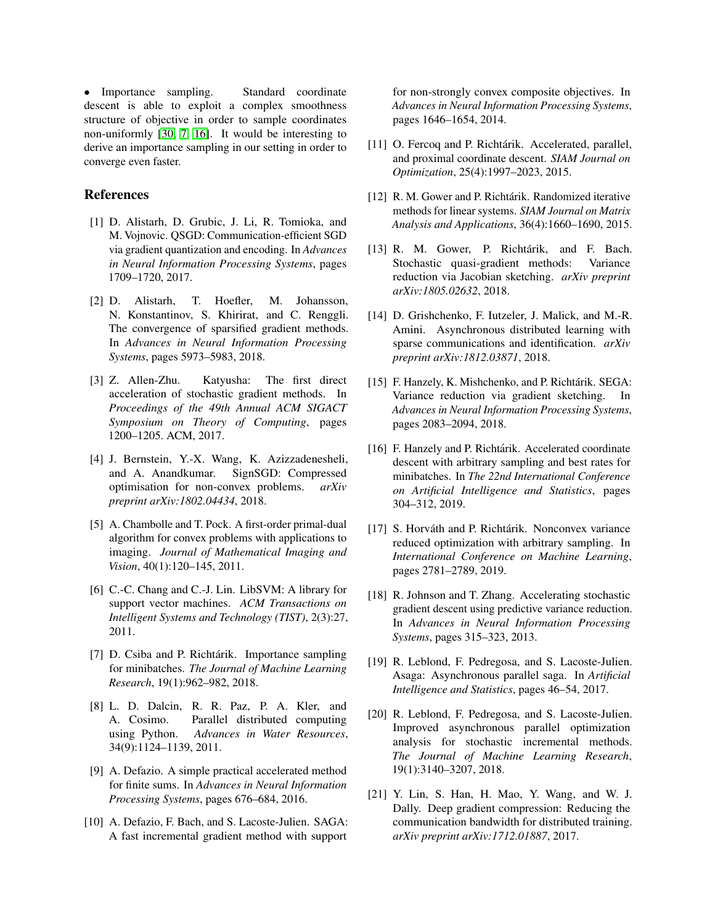• Importance sampling. Standard coordinate descent is able to exploit a complex smoothness structure of objective in order to sample coordinates non-uniformly [\[30,](#page-8-9) [7,](#page-7-18) [16\]](#page-7-19). It would be interesting to derive an importance sampling in our setting in order to converge even faster.

### References

- <span id="page-7-10"></span>[1] D. Alistarh, D. Grubic, J. Li, R. Tomioka, and M. Vojnovic. QSGD: Communication-efficient SGD via gradient quantization and encoding. In *Advances in Neural Information Processing Systems*, pages 1709–1720, 2017.
- <span id="page-7-9"></span>[2] D. Alistarh, T. Hoefler, M. Johansson, N. Konstantinov, S. Khirirat, and C. Renggli. The convergence of sparsified gradient methods. In *Advances in Neural Information Processing Systems*, pages 5973–5983, 2018.
- <span id="page-7-5"></span>[3] Z. Allen-Zhu. Katyusha: The first direct acceleration of stochastic gradient methods. In *Proceedings of the 49th Annual ACM SIGACT Symposium on Theory of Computing*, pages 1200–1205. ACM, 2017.
- <span id="page-7-11"></span>[4] J. Bernstein, Y.-X. Wang, K. Azizzadenesheli, and A. Anandkumar. SignSGD: Compressed optimisation for non-convex problems. *arXiv preprint arXiv:1802.04434*, 2018.
- <span id="page-7-15"></span>[5] A. Chambolle and T. Pock. A first-order primal-dual algorithm for convex problems with applications to imaging. *Journal of Mathematical Imaging and Vision*, 40(1):120–145, 2011.
- <span id="page-7-17"></span>[6] C.-C. Chang and C.-J. Lin. LibSVM: A library for support vector machines. *ACM Transactions on Intelligent Systems and Technology (TIST)*, 2(3):27, 2011.
- <span id="page-7-18"></span>[7] D. Csiba and P. Richtárik. Importance sampling for minibatches. *The Journal of Machine Learning Research*, 19(1):962–982, 2018.
- <span id="page-7-13"></span>[8] L. D. Dalcin, R. R. Paz, P. A. Kler, and A. Cosimo. Parallel distributed computing using Python. *Advances in Water Resources*, 34(9):1124–1139, 2011.
- <span id="page-7-14"></span>[9] A. Defazio. A simple practical accelerated method for finite sums. In *Advances in Neural Information Processing Systems*, pages 676–684, 2016.
- <span id="page-7-1"></span>[10] A. Defazio, F. Bach, and S. Lacoste-Julien. SAGA: A fast incremental gradient method with support

for non-strongly convex composite objectives. In *Advances in Neural Information Processing Systems*, pages 1646–1654, 2014.

- <span id="page-7-7"></span>[11] O. Fercoq and P. Richtárik. Accelerated, parallel, and proximal coordinate descent. *SIAM Journal on Optimization*, 25(4):1997–2023, 2015.
- <span id="page-7-16"></span>[12] R. M. Gower and P. Richtárik. Randomized iterative methods for linear systems. *SIAM Journal on Matrix Analysis and Applications*, 36(4):1660–1690, 2015.
- <span id="page-7-2"></span>[13] R. M. Gower, P. Richtárik, and F. Bach. Stochastic quasi-gradient methods: Variance reduction via Jacobian sketching. *arXiv preprint arXiv:1805.02632*, 2018.
- [14] D. Grishchenko, F. Iutzeler, J. Malick, and M.-R. Amini. Asynchronous distributed learning with sparse communications and identification. *arXiv preprint arXiv:1812.03871*, 2018.
- <span id="page-7-8"></span>[15] F. Hanzely, K. Mishchenko, and P. Richtárik. SEGA: Variance reduction via gradient sketching. In *Advances in Neural Information Processing Systems*, pages 2083–2094, 2018.
- <span id="page-7-19"></span>[16] F. Hanzely and P. Richtárik. Accelerated coordinate descent with arbitrary sampling and best rates for minibatches. In *The 22nd International Conference on Artificial Intelligence and Statistics*, pages 304–312, 2019.
- <span id="page-7-6"></span>[17] S. Horváth and P. Richtárik. Nonconvex variance reduced optimization with arbitrary sampling. In *International Conference on Machine Learning*, pages 2781–2789, 2019.
- <span id="page-7-0"></span>[18] R. Johnson and T. Zhang. Accelerating stochastic gradient descent using predictive variance reduction. In *Advances in Neural Information Processing Systems*, pages 315–323, 2013.
- <span id="page-7-3"></span>[19] R. Leblond, F. Pedregosa, and S. Lacoste-Julien. Asaga: Asynchronous parallel saga. In *Artificial Intelligence and Statistics*, pages 46–54, 2017.
- <span id="page-7-4"></span>[20] R. Leblond, F. Pedregosa, and S. Lacoste-Julien. Improved asynchronous parallel optimization analysis for stochastic incremental methods. *The Journal of Machine Learning Research*, 19(1):3140–3207, 2018.
- <span id="page-7-12"></span>[21] Y. Lin, S. Han, H. Mao, Y. Wang, and W. J. Dally. Deep gradient compression: Reducing the communication bandwidth for distributed training. *arXiv preprint arXiv:1712.01887*, 2017.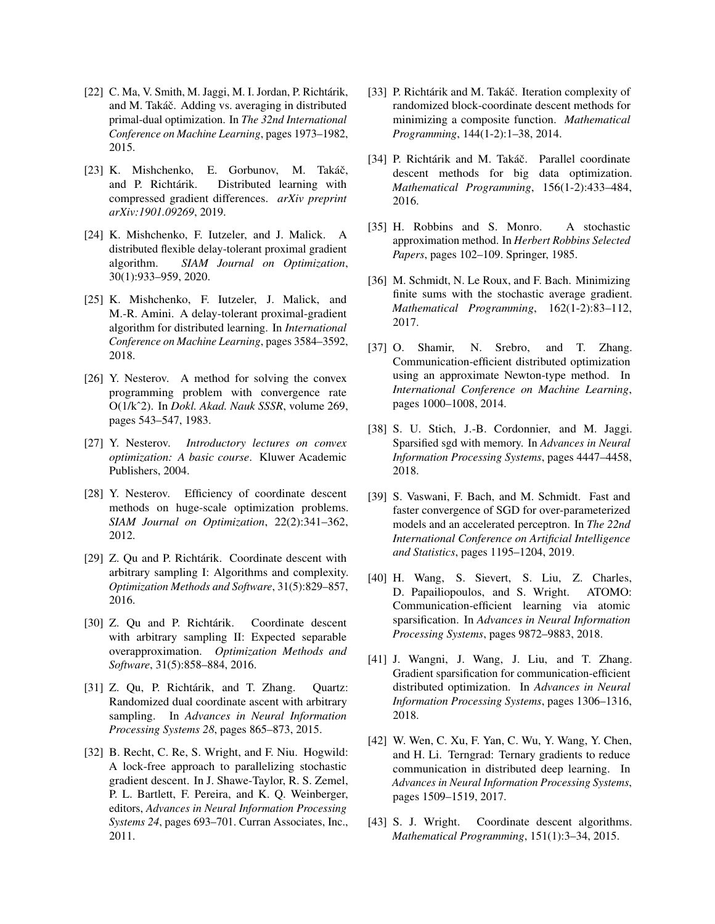- <span id="page-8-18"></span>[22] C. Ma, V. Smith, M. Jaggi, M. I. Jordan, P. Richtárik, and M. Takáč. Adding vs. averaging in distributed primal-dual optimization. In *The 32nd International Conference on Machine Learning*, pages 1973–1982, 2015.
- <span id="page-8-12"></span>[23] K. Mishchenko, E. Gorbunov, M. Takáč, and P. Richtárik. Distributed learning with compressed gradient differences. *arXiv preprint arXiv:1901.09269*, 2019.
- <span id="page-8-20"></span>[24] K. Mishchenko, F. Iutzeler, and J. Malick. A distributed flexible delay-tolerant proximal gradient algorithm. *SIAM Journal on Optimization*, 30(1):933–959, 2020.
- <span id="page-8-19"></span>[25] K. Mishchenko, F. Iutzeler, J. Malick, and M.-R. Amini. A delay-tolerant proximal-gradient algorithm for distributed learning. In *International Conference on Machine Learning*, pages 3584–3592, 2018.
- <span id="page-8-5"></span>[26] Y. Nesterov. A method for solving the convex programming problem with convergence rate O(1/kˆ2). In *Dokl. Akad. Nauk SSSR*, volume 269, pages 543–547, 1983.
- [27] Y. Nesterov. *Introductory lectures on convex optimization: A basic course*. Kluwer Academic Publishers, 2004.
- <span id="page-8-2"></span>[28] Y. Nesterov. Efficiency of coordinate descent methods on huge-scale optimization problems. *SIAM Journal on Optimization*, 22(2):341–362, 2012.
- <span id="page-8-8"></span>[29] Z. Qu and P. Richtárik. Coordinate descent with arbitrary sampling I: Algorithms and complexity. *Optimization Methods and Software*, 31(5):829–857, 2016.
- <span id="page-8-9"></span>[30] Z. Qu and P. Richtárik. Coordinate descent with arbitrary sampling II: Expected separable overapproximation. *Optimization Methods and Software*, 31(5):858–884, 2016.
- <span id="page-8-7"></span>[31] Z. Qu, P. Richtárik, and T. Zhang. Quartz: Randomized dual coordinate ascent with arbitrary sampling. In *Advances in Neural Information Processing Systems 28*, pages 865–873, 2015.
- <span id="page-8-16"></span>[32] B. Recht, C. Re, S. Wright, and F. Niu. Hogwild: A lock-free approach to parallelizing stochastic gradient descent. In J. Shawe-Taylor, R. S. Zemel, P. L. Bartlett, F. Pereira, and K. Q. Weinberger, editors, *Advances in Neural Information Processing Systems 24*, pages 693–701. Curran Associates, Inc., 2011.
- <span id="page-8-3"></span>[33] P. Richtárik and M. Takáč. Iteration complexity of randomized block-coordinate descent methods for minimizing a composite function. *Mathematical Programming*, 144(1-2):1–38, 2014.
- <span id="page-8-6"></span>[34] P. Richtárik and M. Takáč. Parallel coordinate descent methods for big data optimization. *Mathematical Programming*, 156(1-2):433–484, 2016.
- <span id="page-8-0"></span>[35] H. Robbins and S. Monro. A stochastic approximation method. In *Herbert Robbins Selected Papers*, pages 102–109. Springer, 1985.
- <span id="page-8-1"></span>[36] M. Schmidt, N. Le Roux, and F. Bach. Minimizing finite sums with the stochastic average gradient. *Mathematical Programming*, 162(1-2):83–112, 2017.
- <span id="page-8-17"></span>[37] O. Shamir, N. Srebro, and T. Zhang. Communication-efficient distributed optimization using an approximate Newton-type method. In *International Conference on Machine Learning*, pages 1000–1008, 2014.
- <span id="page-8-11"></span>[38] S. U. Stich, J.-B. Cordonnier, and M. Jaggi. Sparsified sgd with memory. In *Advances in Neural Information Processing Systems*, pages 4447–4458, 2018.
- <span id="page-8-15"></span>[39] S. Vaswani, F. Bach, and M. Schmidt. Fast and faster convergence of SGD for over-parameterized models and an accelerated perceptron. In *The 22nd International Conference on Artificial Intelligence and Statistics*, pages 1195–1204, 2019.
- <span id="page-8-14"></span>[40] H. Wang, S. Sievert, S. Liu, Z. Charles, D. Papailiopoulos, and S. Wright. ATOMO: Communication-efficient learning via atomic sparsification. In *Advances in Neural Information Processing Systems*, pages 9872–9883, 2018.
- <span id="page-8-10"></span>[41] J. Wangni, J. Wang, J. Liu, and T. Zhang. Gradient sparsification for communication-efficient distributed optimization. In *Advances in Neural Information Processing Systems*, pages 1306–1316, 2018.
- <span id="page-8-13"></span>[42] W. Wen, C. Xu, F. Yan, C. Wu, Y. Wang, Y. Chen, and H. Li. Terngrad: Ternary gradients to reduce communication in distributed deep learning. In *Advances in Neural Information Processing Systems*, pages 1509–1519, 2017.
- <span id="page-8-4"></span>[43] S. J. Wright. Coordinate descent algorithms. *Mathematical Programming*, 151(1):3–34, 2015.